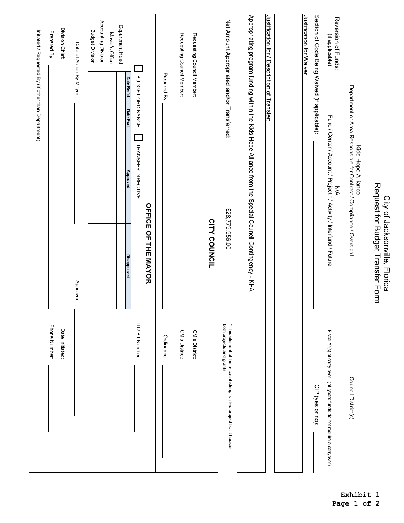| Initiated / Requested By (if other than Department): | Prepared By:  | Division Chief: | Date of Action By Mayor:<br>Approved: | <b>Budget Division</b> | Accounting Division | Mayor's Office | Department Head | Date Rec'd.<br>BUDGET ORDINANCE<br>Date Fwd.<br><b>TRANSFER DIRECTIVE</b><br><b>Approved</b><br><b>Disapproved</b> | OFFICE OF THE MAYOR | Prepared By: | Requesting Council Member: | Requesting Council Member: | CITY COUNCIL | Net Amount Appropriated and/or Transferred:<br>\$28,779,956.00                                    | Appropriating program funding within the Kids Hope Alliance from the Special Council Contingency - KHA | Justification for / Description of Transfer: | Justification for Waiver | Section of Code Being Waived (if applicable): | Reversion of Funds:<br>(if applicable)<br>Fund / Center / Account / Project * / Activity / Interfund / Future<br><b>N/A</b> |                     | Kids Hope Alliance<br>Department or Area Responsible for Contract / Compliance / Oversight | Request for Budget Transfer Form<br>City of Jacksonville, Florida |
|------------------------------------------------------|---------------|-----------------|---------------------------------------|------------------------|---------------------|----------------|-----------------|--------------------------------------------------------------------------------------------------------------------|---------------------|--------------|----------------------------|----------------------------|--------------|---------------------------------------------------------------------------------------------------|--------------------------------------------------------------------------------------------------------|----------------------------------------------|--------------------------|-----------------------------------------------|-----------------------------------------------------------------------------------------------------------------------------|---------------------|--------------------------------------------------------------------------------------------|-------------------------------------------------------------------|
|                                                      | Phone Number: | Date Initiated: |                                       |                        |                     |                |                 | TD / BT Number:                                                                                                    |                     | Ordinance:   | CM's District:             | CM's District:             |              | both projects and grants.<br>* This element of the account string is titled project but it houses |                                                                                                        |                                              |                          | CIP (yes or no):                              | Fiscal Yr(s) of carry over (all-years funds do not require a carryover)                                                     | Council District(s) |                                                                                            |                                                                   |